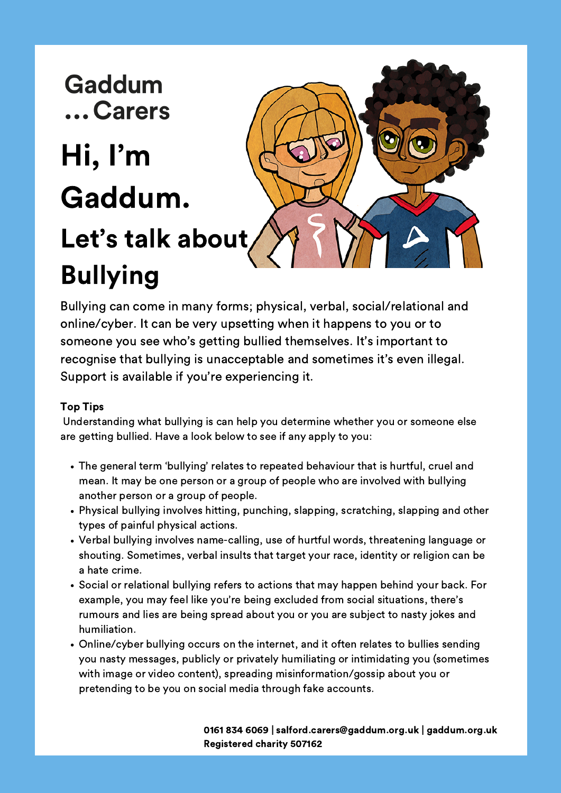- The general term 'bullying' relates to repeated behaviour that is hurtful, cruel and mean. It may be one person or a group of people who are involved with bullying another person or a group of people.
- Physical bullying involves hitting, punching, slapping, scratching, slapping and other types of painful physical actions.
- Verbal bullying involves name-calling, use of hurtful words, threatening language or shouting. Sometimes, verbal insults that target your race, identity or religion can be a hate crime.
- Social or relational bullying refers to actions that may happen behind your back. For example, you may feel like you're being excluded from social situations, there's rumours and lies are being spread about you or you are subject to nasty jokes and humiliation.
- Online/cyber bullying occurs on the internet, and it often relates to bullies sending you nasty messages, publicly or privately humiliating or intimidating you (sometimes with image or video content), spreading misinformation/gossip about you or pretending to be you on social media through fake accounts.

# Gaddum ... Carers Hi, I'm Gaddum. Let's talk about Bullying

Bullying can come in many forms; physical, verbal, social/relational and online/cyber. It can be very upsetting when it happens to you or to someone you see who's getting bullied themselves. It's important to recognise that bullying is unacceptable and sometimes it's even illegal. Support is available if you're experiencing it.

#### Top Tips

Understanding what bullying is can help you determine whether you or someone else are getting bullied. Have a look below to see if any apply to you:

> 0161 834 6069 | salford.carers@gaddum.org.uk | gaddum.org.uk Registered charity 507162